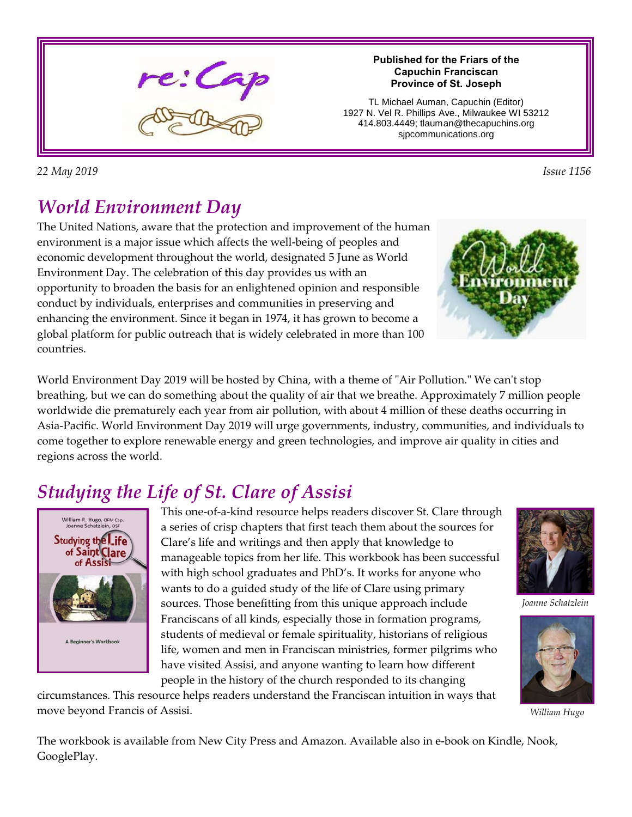

**Published for the Friars of the Capuchin Franciscan Province of St. Joseph**

TL Michael Auman, Capuchin (Editor) 1927 N. Vel R. Phillips Ave., Milwaukee WI 53212 414.803.4449; tlauman@thecapuchins.org sjpcommunications.org

*22 May 2019 Issue 1156* 

## *World Environment Day*

The United Nations, aware that the protection and improvement of the human environment is a major issue which affects the well-being of peoples and economic development throughout the world, designated 5 June as World Environment Day. The celebration of this day provides us with an opportunity to broaden the basis for an enlightened opinion and responsible conduct by individuals, enterprises and communities in preserving and enhancing the environment. Since it began in 1974, it has grown to become a global platform for public outreach that is widely celebrated in more than 100 countries.

World Environment Day 2019 will be hosted by China, with a theme of "Air Pollution." We can't stop breathing, but we can do something about the quality of air that we breathe. Approximately 7 million people worldwide die prematurely each year from air pollution, with about 4 million of these deaths occurring in Asia-Pacific. World Environment Day 2019 will urge governments, industry, communities, and individuals to come together to explore renewable energy and green technologies, and improve air quality in cities and regions across the world.

# *Studying the Life of St. Clare of Assisi*



This one-of-a-kind resource helps readers discover St. Clare through a series of crisp chapters that first teach them about the sources for Clare's life and writings and then apply that knowledge to manageable topics from her life. This workbook has been successful with high school graduates and PhD's. It works for anyone who wants to do a guided study of the life of Clare using primary sources. Those benefitting from this unique approach include Franciscans of all kinds, especially those in formation programs, students of medieval or female spirituality, historians of religious life, women and men in Franciscan ministries, former pilgrims who have visited Assisi, and anyone wanting to learn how different people in the history of the church responded to its changing

circumstances. This resource helps readers understand the Franciscan intuition in ways that move beyond Francis of Assisi.



*Joanne Schatzlein*



*William Hugo*

The workbook is available from New City Press and Amazon. Available also in e-book on Kindle, Nook, GooglePlay.

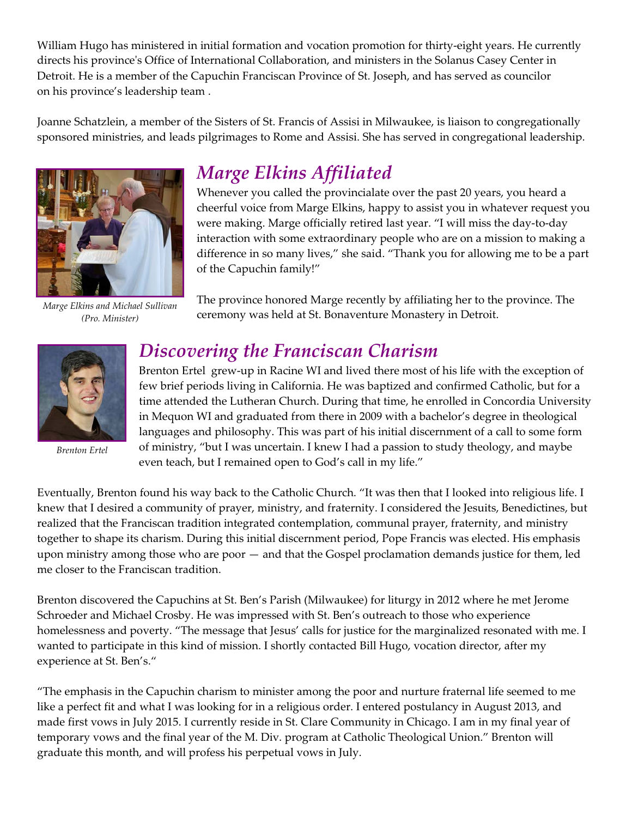William Hugo has ministered in initial formation and vocation promotion for thirty-eight years. He currently directs his province's Office of International Collaboration, and ministers in the Solanus Casey Center in Detroit. He is a member of the Capuchin Franciscan Province of St. Joseph, and has served as councilor on his province's leadership team .

Joanne Schatzlein, a member of the Sisters of St. Francis of Assisi in Milwaukee, is liaison to congregationally sponsored ministries, and leads pilgrimages to Rome and Assisi. She has served in congregational leadership.



*Marge Elkins and Michael Sullivan (Pro. Minister)*

### *Marge Elkins Affiliated*

Whenever you called the provincialate over the past 20 years, you heard a cheerful voice from Marge Elkins, happy to assist you in whatever request you were making. Marge officially retired last year. "I will miss the day-to-day interaction with some extraordinary people who are on a mission to making a difference in so many lives," she said. "Thank you for allowing me to be a part of the Capuchin family!"

The province honored Marge recently by affiliating her to the province. The ceremony was held at St. Bonaventure Monastery in Detroit.



*Brenton Ertel*

### *Discovering the Franciscan Charism*

Brenton Ertel grew-up in Racine WI and lived there most of his life with the exception of few brief periods living in California. He was baptized and confirmed Catholic, but for a time attended the Lutheran Church. During that time, he enrolled in Concordia University in Mequon WI and graduated from there in 2009 with a bachelor's degree in theological languages and philosophy. This was part of his initial discernment of a call to some form of ministry, "but I was uncertain. I knew I had a passion to study theology, and maybe even teach, but I remained open to God's call in my life."

Eventually, Brenton found his way back to the Catholic Church. "It was then that I looked into religious life. I knew that I desired a community of prayer, ministry, and fraternity. I considered the Jesuits, Benedictines, but realized that the Franciscan tradition integrated contemplation, communal prayer, fraternity, and ministry together to shape its charism. During this initial discernment period, Pope Francis was elected. His emphasis upon ministry among those who are poor — and that the Gospel proclamation demands justice for them, led me closer to the Franciscan tradition.

Brenton discovered the Capuchins at St. Ben's Parish (Milwaukee) for liturgy in 2012 where he met Jerome Schroeder and Michael Crosby. He was impressed with St. Ben's outreach to those who experience homelessness and poverty. "The message that Jesus' calls for justice for the marginalized resonated with me. I wanted to participate in this kind of mission. I shortly contacted Bill Hugo, vocation director, after my experience at St. Ben's."

"The emphasis in the Capuchin charism to minister among the poor and nurture fraternal life seemed to me like a perfect fit and what I was looking for in a religious order. I entered postulancy in August 2013, and made first vows in July 2015. I currently reside in St. Clare Community in Chicago. I am in my final year of temporary vows and the final year of the M. Div. program at Catholic Theological Union." Brenton will graduate this month, and will profess his perpetual vows in July.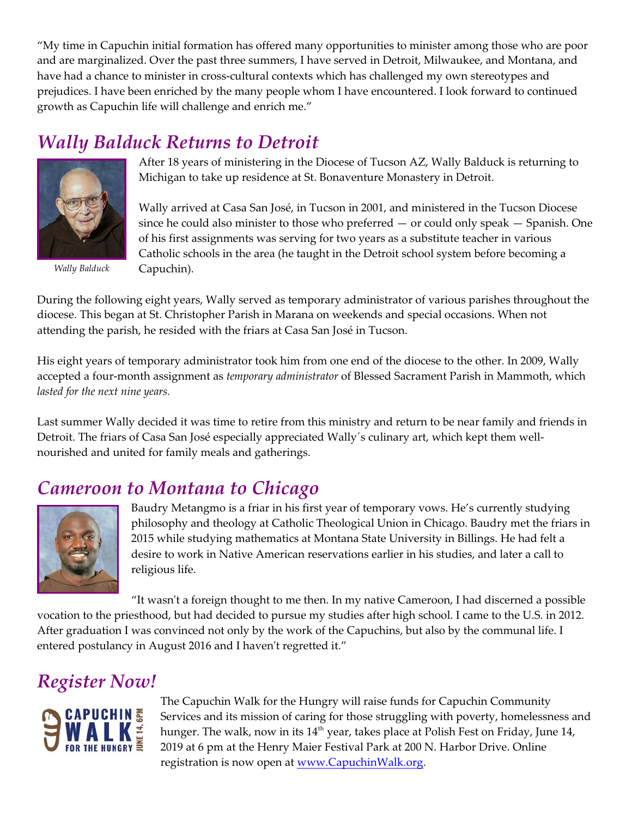"My time in Capuchin initial formation has offered many opportunities to minister among those who are poor and are marginalized. Over the past three summers, I have served in Detroit, Milwaukee, and Montana, and have had a chance to minister in cross-cultural contexts which has challenged my own stereotypes and prejudices. I have been enriched by the many people whom I have encountered. I look forward to continued growth as Capuchin life will challenge and enrich me."

## *Wally Balduck Returns to Detroit*



*Wally Balduck*

After 18 years of ministering in the Diocese of Tucson AZ, Wally Balduck is returning to Michigan to take up residence at St. Bonaventure Monastery in Detroit.

Wally arrived at Casa San José, in Tucson in 2001, and ministered in the Tucson Diocese since he could also minister to those who preferred  $-$  or could only speak  $-$  Spanish. One of his first assignments was serving for two years as a substitute teacher in various Catholic schools in the area (he taught in the Detroit school system before becoming a Capuchin).

During the following eight years, Wally served as temporary administrator of various parishes throughout the diocese. This began at St. Christopher Parish in Marana on weekends and special occasions. When not attending the parish, he resided with the friars at Casa San José in Tucson.

His eight years of temporary administrator took him from one end of the diocese to the other. In 2009, Wally accepted a four-month assignment as *temporary administrator* of Blessed Sacrament Parish in Mammoth, which *lasted for the next nine years.* 

Last summer Wally decided it was time to retire from this ministry and return to be near family and friends in Detroit. The friars of Casa San José especially appreciated Wally´s culinary art, which kept them wellnourished and united for family meals and gatherings.

### *Cameroon to Montana to Chicago*



Baudry Metangmo is a friar in his first year of temporary vows. He's currently studying philosophy and theology at Catholic Theological Union in Chicago. Baudry met the friars in 2015 while studying mathematics at Montana State University in Billings. He had felt a desire to work in Native American reservations earlier in his studies, and later a call to religious life.

"It wasn't a foreign thought to me then. In my native Cameroon, I had discerned a possible vocation to the priesthood, but had decided to pursue my studies after high school. I came to the U.S. in 2012. After graduation I was convinced not only by the work of the Capuchins, but also by the communal life. I entered postulancy in August 2016 and I haven't regretted it."

### *Register Now!*



The Capuchin Walk for the Hungry will raise funds for Capuchin Community Services and its mission of caring for those struggling with poverty, homelessness and hunger. The walk, now in its  $14<sup>th</sup>$  year, takes place at Polish Fest on Friday, June 14, 2019 at 6 pm at the Henry Maier Festival Park at 200 N. Harbor Drive. Online registration is now open at [www.CapuchinWalk.org](http://www.CapuchinWalk.org).